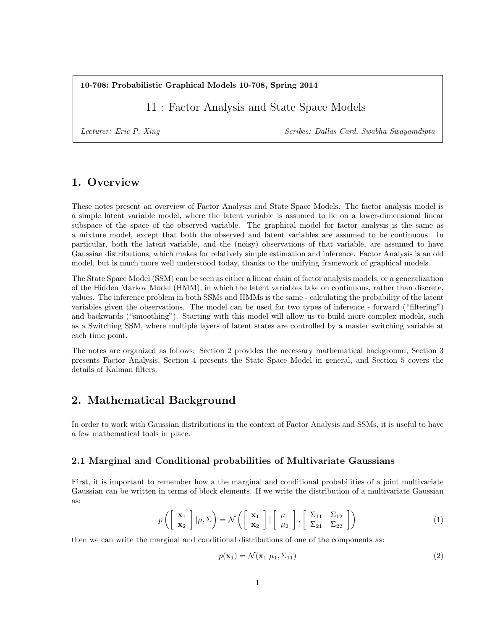10-708: Probabilistic Graphical Models 10-708, Spring 2014

11 : Factor Analysis and State Space Models

Lecturer: Eric P. Xing Scribes: Dallas Card, Swabha Swayamdipta

## 1. Overview

These notes present an overview of Factor Analysis and State Space Models. The factor analysis model is a simple latent variable model, where the latent variable is assumed to lie on a lower-dimensional linear subspace of the space of the observed variable. The graphical model for factor analysis is the same as a mixture model, except that both the observed and latent variables are assumed to be continuous. In particular, both the latent variable, and the (noisy) observations of that variable, are assumed to have Gaussian distributions, which makes for relatively simple estimation and inference. Factor Analysis is an old model, but is much more well understood today, thanks to the unifying framework of graphical models.

The State Space Model (SSM) can be seen as either a linear chain of factor analysis models, or a generalization of the Hidden Markov Model (HMM), in which the latent variables take on continuous, rather than discrete, values. The inference problem in both SSMs and HMMs is the same - calculating the probability of the latent variables given the observations. The model can be used for two types of inference - forward ("filtering") and backwards ("smoothing"). Starting with this model will allow us to build more complex models, such as a Switching SSM, where multiple layers of latent states are controlled by a master switching variable at each time point.

The notes are organized as follows: Section 2 provides the necessary mathematical background, Section 3 presents Factor Analysis, Section 4 presents the State Space Model in general, and Section 5 covers the details of Kalman filters.

## 2. Mathematical Background

In order to work with Gaussian distributions in the context of Factor Analysis and SSMs, it is useful to have a few mathematical tools in place.

### 2.1 Marginal and Conditional probabilities of Multivariate Gaussians

First, it is important to remember how a the marginal and conditional probabilities of a joint multivariate Gaussian can be written in terms of block elements. If we write the distribution of a multivariate Gaussian as:

$$
p\left(\left[\begin{array}{c}\mathbf{x}_1\\\mathbf{x}_2\end{array}\right]|\mu,\Sigma\right) = \mathcal{N}\left(\left[\begin{array}{c}\mathbf{x}_1\\\mathbf{x}_2\end{array}\right]|\left[\begin{array}{c}\mu_1\\\mu_2\end{array}\right],\left[\begin{array}{cc}\Sigma_{11}&\Sigma_{12}\\ \Sigma_{21}&\Sigma_{22}\end{array}\right]\right)
$$
(1)

then we can write the marginal and conditional distributions of one of the components as:

$$
p(\mathbf{x}_1) = \mathcal{N}(\mathbf{x}_1 | \mu_1, \Sigma_{11})
$$
\n(2)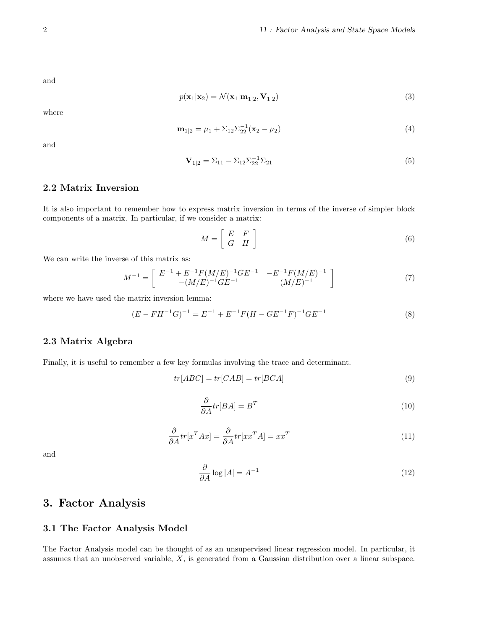and

$$
p(\mathbf{x}_1|\mathbf{x}_2) = \mathcal{N}(\mathbf{x}_1|\mathbf{m}_{1|2}, \mathbf{V}_{1|2})
$$
\n(3)

where

$$
\mathbf{m}_{1|2} = \mu_1 + \Sigma_{12} \Sigma_{22}^{-1} (\mathbf{x}_2 - \mu_2) \tag{4}
$$

and

$$
\mathbf{V}_{1|2} = \Sigma_{11} - \Sigma_{12} \Sigma_{22}^{-1} \Sigma_{21} \tag{5}
$$

## 2.2 Matrix Inversion

It is also important to remember how to express matrix inversion in terms of the inverse of simpler block components of a matrix. In particular, if we consider a matrix:

$$
M = \left[ \begin{array}{cc} E & F \\ G & H \end{array} \right] \tag{6}
$$

We can write the inverse of this matrix as:

$$
M^{-1} = \begin{bmatrix} E^{-1} + E^{-1}F(M/E)^{-1}GE^{-1} & -E^{-1}F(M/E)^{-1} \\ -(M/E)^{-1}GE^{-1} & (M/E)^{-1} \end{bmatrix}
$$
 (7)

where we have used the matrix inversion lemma:

$$
(E - FH^{-1}G)^{-1} = E^{-1} + E^{-1}F(H - GE^{-1}F)^{-1}GE^{-1}
$$
\n(8)

### 2.3 Matrix Algebra

Finally, it is useful to remember a few key formulas involving the trace and determinant.

$$
tr[ABC] = tr[CAB] = tr[BCA]
$$
\n(9)

$$
\frac{\partial}{\partial A}tr[BA] = B^T \tag{10}
$$

$$
\frac{\partial}{\partial A}tr[x^T Ax] = \frac{\partial}{\partial A}tr[x^T A] = xx^T
$$
\n(11)

and

$$
\frac{\partial}{\partial A} \log |A| = A^{-1} \tag{12}
$$

# 3. Factor Analysis

### 3.1 The Factor Analysis Model

The Factor Analysis model can be thought of as an unsupervised linear regression model. In particular, it assumes that an unobserved variable, X, is generated from a Gaussian distribution over a linear subspace.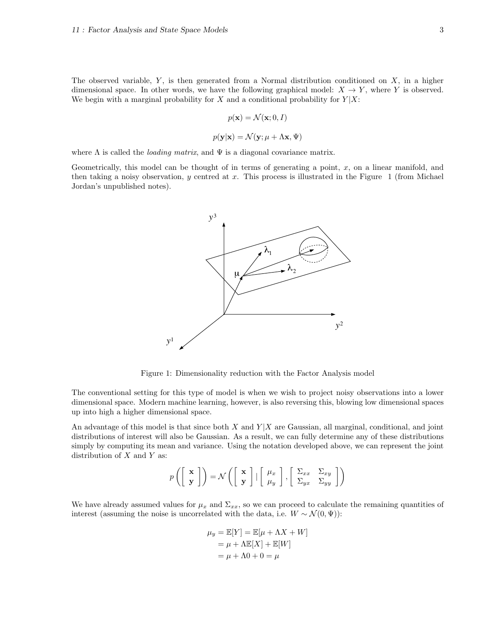The observed variable,  $Y$ , is then generated from a Normal distribution conditioned on  $X$ , in a higher dimensional space. In other words, we have the following graphical model:  $X \to Y$ , where Y is observed. We begin with a marginal probability for X and a conditional probability for  $Y|X$ :

$$
p(\mathbf{x}) = \mathcal{N}(\mathbf{x}; 0, I)
$$

$$
p(\mathbf{y}|\mathbf{x}) = \mathcal{N}(\mathbf{y}; \mu + \Lambda \mathbf{x}, \Psi)
$$

where  $\Lambda$  is called the *loading matrix*, and  $\Psi$  is a diagonal covariance matrix.

Geometrically, this model can be thought of in terms of generating a point,  $x$ , on a linear manifold, and then taking a noisy observation, y centred at x. This process is illustrated in the Figure 1 (from Michael Jordan's unpublished notes).



Figure 1: Dimensionality reduction with the Factor Analysis model

The conventional setting for this type of model is when we wish to project noisy observations into a lower dimensional space. Modern machine learning, however, is also reversing this, blowing low dimensional spaces up into high a higher dimensional space.

An advantage of this model is that since both X and  $Y|X$  are Gaussian, all marginal, conditional, and joint distributions of interest will also be Gaussian. As a result, we can fully determine any of these distributions simply by computing its mean and variance. Using the notation developed above, we can represent the joint distribution of  $X$  and  $Y$  as:

$$
p\left(\left[\begin{array}{c}\mathbf{x}\\ \mathbf{y}\end{array}\right]\right) = \mathcal{N}\left(\left[\begin{array}{c}\mathbf{x}\\ \mathbf{y}\end{array}\right] \mid \left[\begin{array}{c}\mu_x\\ \mu_y\end{array}\right], \left[\begin{array}{cc}\Sigma_{xx} & \Sigma_{xy}\\ \Sigma_{yx} & \Sigma_{yy}\end{array}\right]\right)
$$

We have already assumed values for  $\mu_x$  and  $\Sigma_{xx}$ , so we can proceed to calculate the remaining quantities of interest (assuming the noise is uncorrelated with the data, i.e.  $W \sim \mathcal{N}(0, \Psi)$ ):

$$
\mu_y = \mathbb{E}[Y] = \mathbb{E}[\mu + \Lambda X + W]
$$

$$
= \mu + \Lambda \mathbb{E}[X] + \mathbb{E}[W]
$$

$$
= \mu + \Lambda 0 + 0 = \mu
$$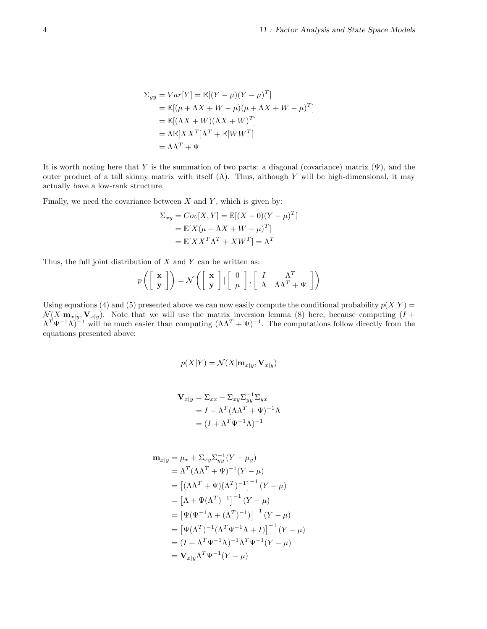$$
\Sigma_{yy} = Var[Y] = \mathbb{E}[(Y - \mu)(Y - \mu)^{T}]
$$
  
=  $\mathbb{E}[(\mu + \Lambda X + W - \mu)(\mu + \Lambda X + W - \mu)^{T}]$   
=  $\mathbb{E}[(\Lambda X + W)(\Lambda X + W)^{T}]$   
=  $\Lambda \mathbb{E}[XX^{T}]\Lambda^{T} + \mathbb{E}[WW^{T}]$   
=  $\Lambda \Lambda^{T} + \Psi$ 

It is worth noting here that Y is the summation of two parts: a diagonal (covariance) matrix  $(\Psi)$ , and the outer product of a tall skinny matrix with itself  $(Λ)$ . Thus, although Y will be high-dimensional, it may actually have a low-rank structure.

Finally, we need the covariance between  $X$  and  $Y$ , which is given by:

$$
\Sigma_{xy} = Cov[X, Y] = \mathbb{E}[(X - 0)(Y - \mu)^{T}]
$$

$$
= \mathbb{E}[X(\mu + \Lambda X + W - \mu)^{T}]
$$

$$
= \mathbb{E}[XX^{T}\Lambda^{T} + XW^{T}] = \Lambda^{T}
$$

Thus, the full joint distribution of  $X$  and  $Y$  can be written as:

$$
p\left(\left[\begin{array}{c} \mathbf{x} \\ \mathbf{y} \end{array}\right]\right) = \mathcal{N}\left(\left[\begin{array}{c} \mathbf{x} \\ \mathbf{y} \end{array}\right] \mid \left[\begin{array}{c} 0 \\ \mu \end{array}\right], \left[\begin{array}{cc} I & \Lambda^T \\ \Lambda & \Lambda\Lambda^T + \Psi \end{array}\right]\right)
$$

Using equations (4) and (5) presented above we can now easily compute the conditional probability  $p(X|Y)$  =  $\mathcal{N}(X|\mathbf{m}_{x|y}, \mathbf{V}_{x|y})$ . Note that we will use the matrix inversion lemma (8) here, because computing  $(I +$  $\Lambda^T \Psi^{-1} \Lambda$ <sup>-1</sup> will be much easier than computing  $(\Lambda \Lambda^T + \Psi)^{-1}$ . The computations follow directly from the equations presented above:

$$
p(X|Y) = \mathcal{N}(X|\mathbf{m}_{x|y}, \mathbf{V}_{x|y})
$$

$$
\mathbf{V}_{x|y} = \Sigma_{xx} - \Sigma_{xy} \Sigma_{yy}^{-1} \Sigma_{yx}
$$
  
=  $I - \Lambda^T (\Lambda \Lambda^T + \Psi)^{-1} \Lambda$   
=  $(I + \Lambda^T \Psi^{-1} \Lambda)^{-1}$ 

$$
\mathbf{m}_{x|y} = \mu_x + \Sigma_{xy} \Sigma_{yy}^{-1} (Y - \mu_y) \n= \Lambda^T (\Lambda \Lambda^T + \Psi)^{-1} (Y - \mu) \n= [(\Lambda \Lambda^T + \Psi)(\Lambda^T)^{-1}]^{-1} (Y - \mu) \n= [\Lambda + \Psi (\Lambda^T)^{-1}]^{-1} (Y - \mu) \n= [\Psi(\Psi^{-1} \Lambda + (\Lambda^T)^{-1})]^{-1} (Y - \mu) \n= [\Psi(\Lambda^T)^{-1} (\Lambda^T \Psi^{-1} \Lambda + I)]^{-1} (Y - \mu) \n= (I + \Lambda^T \Psi^{-1} \Lambda)^{-1} \Lambda^T \Psi^{-1} (Y - \mu) \n= \mathbf{V}_{x|y} \Lambda^T \Psi^{-1} (Y - \mu)
$$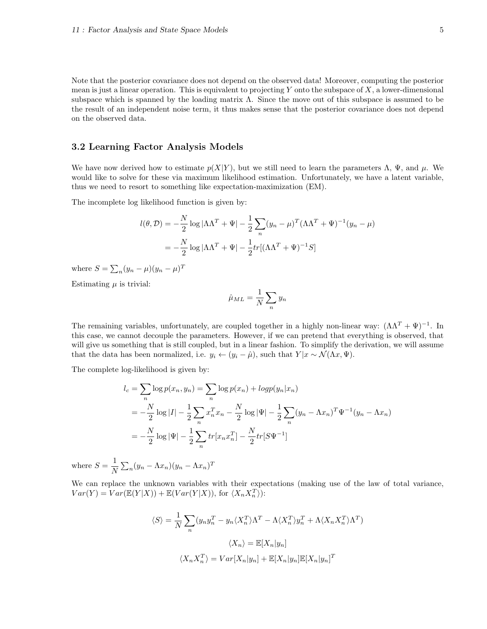Note that the posterior covariance does not depend on the observed data! Moreover, computing the posterior mean is just a linear operation. This is equivalent to projecting Y onto the subspace of  $X$ , a lower-dimensional subspace which is spanned by the loading matrix Λ. Since the move out of this subspace is assumed to be the result of an independent noise term, it thus makes sense that the posterior covariance does not depend on the observed data.

#### 3.2 Learning Factor Analysis Models

We have now derived how to estimate  $p(X|Y)$ , but we still need to learn the parameters  $\Lambda$ ,  $\Psi$ , and  $\mu$ . We would like to solve for these via maximum likelihood estimation. Unfortunately, we have a latent variable, thus we need to resort to something like expectation-maximization (EM).

The incomplete log likelihood function is given by:

$$
l(\theta, \mathcal{D}) = -\frac{N}{2} \log |\Lambda \Lambda^T + \Psi| - \frac{1}{2} \sum_n (y_n - \mu)^T (\Lambda \Lambda^T + \Psi)^{-1} (y_n - \mu)
$$

$$
= -\frac{N}{2} \log |\Lambda \Lambda^T + \Psi| - \frac{1}{2} tr[(\Lambda \Lambda^T + \Psi)^{-1} S]
$$

where  $S = \sum_n (y_n - \mu)(y_n - \mu)^T$ 

Estimating  $\mu$  is trivial:

$$
\hat{\mu}_{ML} = \frac{1}{N} \sum_{n} y_n
$$

The remaining variables, unfortunately, are coupled together in a highly non-linear way:  $(\Lambda \Lambda^T + \Psi)^{-1}$ . In this case, we cannot decouple the parameters. However, if we can pretend that everything is observed, that will give us something that is still coupled, but in a linear fashion. To simplify the derivation, we will assume that the data has been normalized, i.e.  $y_i \leftarrow (y_i - \hat{\mu})$ , such that  $Y | x \sim \mathcal{N}(\Lambda x, \Psi)$ .

The complete log-likelihood is given by:

$$
l_c = \sum_{n} \log p(x_n, y_n) = \sum_{n} \log p(x_n) + \log p(y_n | x_n)
$$
  
=  $-\frac{N}{2} \log |I| - \frac{1}{2} \sum_{n} x_n^T x_n - \frac{N}{2} \log |\Psi| - \frac{1}{2} \sum_{n} (y_n - \Lambda x_n)^T \Psi^{-1} (y_n - \Lambda x_n)$   
=  $-\frac{N}{2} \log |\Psi| - \frac{1}{2} \sum_{n} tr[x_n x_n^T] - \frac{N}{2} tr[S \Psi^{-1}]$ 

where  $S=\frac{1}{N}$  $\frac{1}{N}\sum_n(y_n - \Lambda x_n)(y_n - \Lambda x_n)^T$ 

We can replace the unknown variables with their expectations (making use of the law of total variance,  $Var(Y) = Var(\mathbb{E}(Y|X)) + \mathbb{E}(Var(Y|X)),$  for  $\langle X_n X_n^T \rangle$ :

$$
\langle S \rangle = \frac{1}{N} \sum_{n} (y_n y_n^T - y_n \langle X_n^T \rangle \Lambda^T - \Lambda \langle X_n^T \rangle y_n^T + \Lambda \langle X_n X_n^T \rangle \Lambda^T)
$$

$$
\langle X_n \rangle = \mathbb{E}[X_n | y_n]
$$

$$
\langle X_n X_n^T \rangle = Var[X_n | y_n] + \mathbb{E}[X_n | y_n] \mathbb{E}[X_n | y_n]^T
$$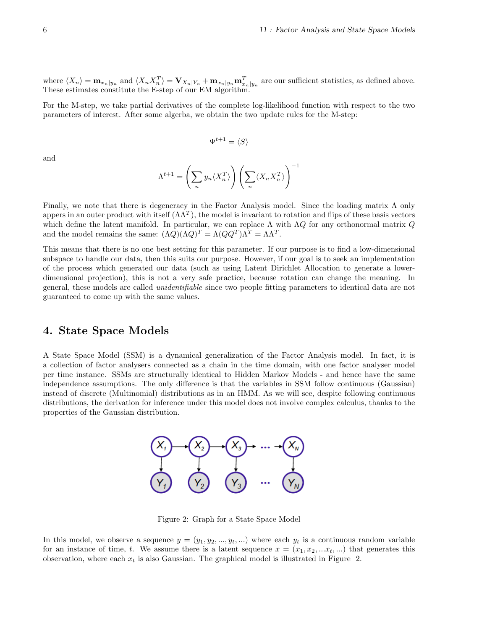where  $\langle X_n \rangle = \mathbf{m}_{x_n|y_n}$  and  $\langle X_n X_n^T \rangle = \mathbf{V}_{X_n|Y_n} + \mathbf{m}_{x_n|y_n} \mathbf{m}_{x_n|y_n}^T$  are our sufficient statistics, as defined above. These estimates constitute the E-step of our EM algorithm.

For the M-step, we take partial derivatives of the complete log-likelihood function with respect to the two parameters of interest. After some algerba, we obtain the two update rules for the M-step:

$$
\Psi^{t+1} = \langle S \rangle
$$

and

$$
\Lambda^{t+1} = \left(\sum_n y_n \langle X_n^T \rangle \right) \left(\sum_n \langle X_n X_n^T \rangle \right)^{-1}
$$

Finally, we note that there is degeneracy in the Factor Analysis model. Since the loading matrix  $\Lambda$  only appers in an outer product with itself  $(\Lambda \Lambda^T)$ , the model is invariant to rotation and flips of these basis vectors which define the latent manifold. In particular, we can replace  $\Lambda$  with  $\Lambda Q$  for any orthonormal matrix  $Q$ and the model remains the same:  $(\Lambda Q)(\Lambda Q)^T = \Lambda (QQ^T)\Lambda^T = \Lambda \Lambda^T$ .

This means that there is no one best setting for this parameter. If our purpose is to find a low-dimensional subspace to handle our data, then this suits our purpose. However, if our goal is to seek an implementation of the process which generated our data (such as using Latent Dirichlet Allocation to generate a lowerdimensional projection), this is not a very safe practice, because rotation can change the meaning. In general, these models are called unidentifiable since two people fitting parameters to identical data are not guaranteed to come up with the same values.

## 4. State Space Models

A State Space Model (SSM) is a dynamical generalization of the Factor Analysis model. In fact, it is a collection of factor analysers connected as a chain in the time domain, with one factor analyser model per time instance. SSMs are structurally identical to Hidden Markov Models - and hence have the same independence assumptions. The only difference is that the variables in SSM follow continuous (Gaussian) instead of discrete (Multinomial) distributions as in an HMM. As we will see, despite following continuous distributions, the derivation for inference under this model does not involve complex calculus, thanks to the properties of the Gaussian distribution.



Figure 2: Graph for a State Space Model

In this model, we observe a sequence  $y = (y_1, y_2, ..., y_t, ...)$  where each  $y_t$  is a continuous random variable for an instance of time, t. We assume there is a latent sequence  $x = (x_1, x_2, \ldots, x_t, \ldots)$  that generates this observation, where each  $x_t$  is also Gaussian. The graphical model is illustrated in Figure 2.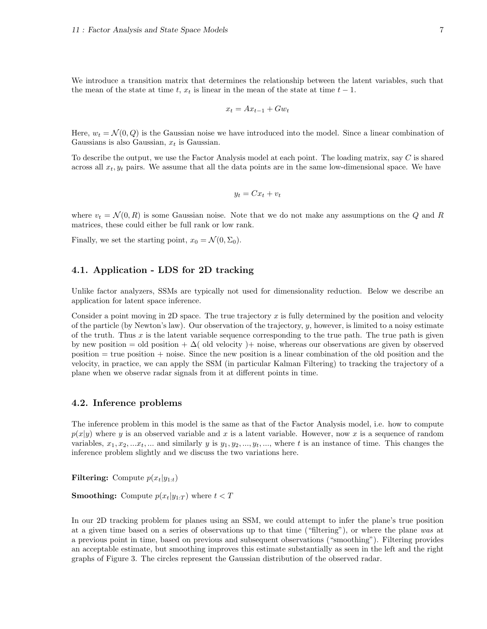We introduce a transition matrix that determines the relationship between the latent variables, such that the mean of the state at time t,  $x_t$  is linear in the mean of the state at time  $t-1$ .

$$
x_t = Ax_{t-1} + Gw_t
$$

Here,  $w_t = \mathcal{N}(0, Q)$  is the Gaussian noise we have introduced into the model. Since a linear combination of Gaussians is also Gaussian,  $x_t$  is Gaussian.

To describe the output, we use the Factor Analysis model at each point. The loading matrix, say C is shared across all  $x_t, y_t$  pairs. We assume that all the data points are in the same low-dimensional space. We have

$$
y_t = Cx_t + v_t
$$

where  $v_t = \mathcal{N}(0, R)$  is some Gaussian noise. Note that we do not make any assumptions on the Q and R matrices, these could either be full rank or low rank.

Finally, we set the starting point,  $x_0 = \mathcal{N}(0, \Sigma_0)$ .

#### 4.1. Application - LDS for 2D tracking

Unlike factor analyzers, SSMs are typically not used for dimensionality reduction. Below we describe an application for latent space inference.

Consider a point moving in 2D space. The true trajectory x is fully determined by the position and velocity of the particle (by Newton's law). Our observation of the trajectory,  $y$ , however, is limited to a noisy estimate of the truth. Thus  $x$  is the latent variable sequence corresponding to the true path. The true path is given by new position = old position +  $\Delta$  (old velocity) + noise, whereas our observations are given by observed position = true position + noise. Since the new position is a linear combination of the old position and the velocity, in practice, we can apply the SSM (in particular Kalman Filtering) to tracking the trajectory of a plane when we observe radar signals from it at different points in time.

#### 4.2. Inference problems

The inference problem in this model is the same as that of the Factor Analysis model, i.e. how to compute  $p(x|y)$  where y is an observed variable and x is a latent variable. However, now x is a sequence of random variables,  $x_1, x_2, \ldots x_t, \ldots$  and similarly y is  $y_1, y_2, \ldots, y_t, \ldots$ , where t is an instance of time. This changes the inference problem slightly and we discuss the two variations here.

Filtering: Compute  $p(x_t|y_{1:t})$ 

**Smoothing:** Compute  $p(x_t|y_{1:T})$  where  $t < T$ 

In our 2D tracking problem for planes using an SSM, we could attempt to infer the plane's true position at a given time based on a series of observations up to that time ("filtering"), or where the plane was at a previous point in time, based on previous and subsequent observations ("smoothing"). Filtering provides an acceptable estimate, but smoothing improves this estimate substantially as seen in the left and the right graphs of Figure 3. The circles represent the Gaussian distribution of the observed radar.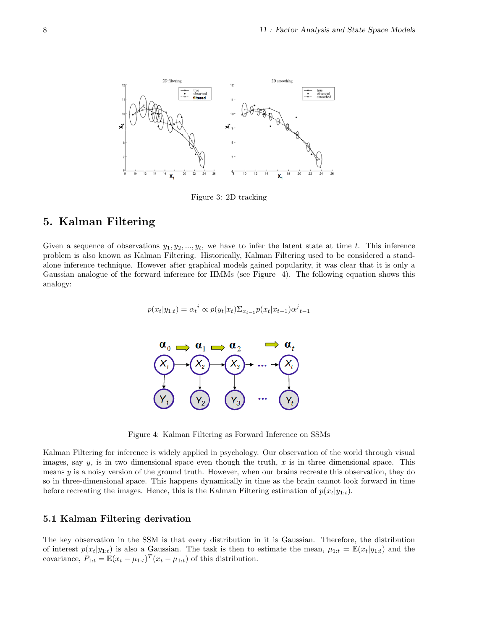

Figure 3: 2D tracking

# 5. Kalman Filtering

Given a sequence of observations  $y_1, y_2, ..., y_t$ , we have to infer the latent state at time t. This inference problem is also known as Kalman Filtering. Historically, Kalman Filtering used to be considered a standalone inference technique. However after graphical models gained popularity, it was clear that it is only a Gaussian analogue of the forward inference for HMMs (see Figure 4). The following equation shows this analogy:

$$
p(x_t|y_{1:t}) = \alpha_t^{i} \propto p(y_t|x_t) \Sigma_{x_{t-1}} p(x_t|x_{t-1}) \alpha_t^{j}.
$$



Figure 4: Kalman Filtering as Forward Inference on SSMs

Kalman Filtering for inference is widely applied in psychology. Our observation of the world through visual images, say  $y$ , is in two dimensional space even though the truth, x is in three dimensional space. This means  $y$  is a noisy version of the ground truth. However, when our brains recreate this observation, they do so in three-dimensional space. This happens dynamically in time as the brain cannot look forward in time before recreating the images. Hence, this is the Kalman Filtering estimation of  $p(x_t|y_{1:t})$ .

### 5.1 Kalman Filtering derivation

The key observation in the SSM is that every distribution in it is Gaussian. Therefore, the distribution of interest  $p(x_t|y_{1:t})$  is also a Gaussian. The task is then to estimate the mean,  $\mu_{1:t} = \mathbb{E}(x_t|y_{1:t})$  and the covariance,  $P_{1:t} = \mathbb{E}(x_t - \mu_{1:t})^T (x_t - \mu_{1:t})$  of this distribution.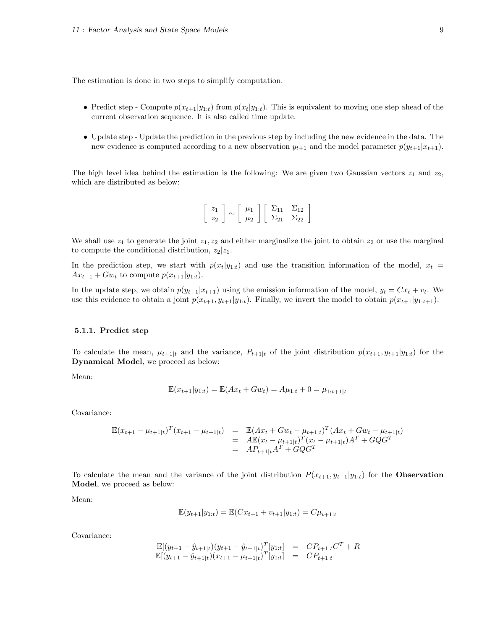The estimation is done in two steps to simplify computation.

- Predict step Compute  $p(x_{t+1}|y_{1:t})$  from  $p(x_t|y_{1:t})$ . This is equivalent to moving one step ahead of the current observation sequence. It is also called time update.
- Update step Update the prediction in the previous step by including the new evidence in the data. The new evidence is computed according to a new observation  $y_{t+1}$  and the model parameter  $p(y_{t+1}|x_{t+1})$ .

The high level idea behind the estimation is the following: We are given two Gaussian vectors  $z_1$  and  $z_2$ , which are distributed as below:

$$
\left[\begin{array}{c} z_1 \\ z_2 \end{array}\right] \sim \left[\begin{array}{c} \mu_1 \\ \mu_2 \end{array}\right] \left[\begin{array}{cc} \Sigma_{11} & \Sigma_{12} \\ \Sigma_{21} & \Sigma_{22} \end{array}\right]
$$

We shall use  $z_1$  to generate the joint  $z_1, z_2$  and either marginalize the joint to obtain  $z_2$  or use the marginal to compute the conditional distribution,  $z_2|z_1$ .

In the prediction step, we start with  $p(x_t|y_{1:t})$  and use the transition information of the model,  $x_t =$  $Ax_{t-1}$  +  $Gw_t$  to compute  $p(x_{t+1}|y_{1:t})$ .

In the update step, we obtain  $p(y_{t+1}|x_{t+1})$  using the emission information of the model,  $y_t = Cx_t + v_t$ . We use this evidence to obtain a joint  $p(x_{t+1}, y_{t+1}|y_{1:t})$ . Finally, we invert the model to obtain  $p(x_{t+1}|y_{1:t+1})$ .

#### 5.1.1. Predict step

To calculate the mean,  $\mu_{t+1|t}$  and the variance,  $P_{t+1|t}$  of the joint distribution  $p(x_{t+1}, y_{t+1}|y_{1:t})$  for the Dynamical Model, we proceed as below:

Mean:

$$
\mathbb{E}(x_{t+1}|y_{1:t}) = \mathbb{E}(Ax_t + Gw_t) = A\mu_{1:t} + 0 = \mu_{1:t+1|t}
$$

Covariance:

$$
\mathbb{E}(x_{t+1} - \mu_{t+1|t})^T (x_{t+1} - \mu_{t+1|t}) = \mathbb{E}(Ax_t + Gw_t - \mu_{t+1|t})^T (Ax_t + Gw_t - \mu_{t+1|t})
$$
  
\n
$$
= A\mathbb{E}(x_t - \mu_{t+1|t})^T (x_t - \mu_{t+1|t}) A^T + GQG^T
$$
  
\n
$$
= AP_{t+1|t} A^T + GQG^T
$$

To calculate the mean and the variance of the joint distribution  $P(x_{t+1}, y_{t+1}|y_{1:t})$  for the **Observation** Model, we proceed as below:

Mean:

$$
\mathbb{E}(y_{t+1}|y_{1:t}) = \mathbb{E}(Cx_{t+1} + v_{t+1}|y_{1:t}) = C\mu_{t+1|t}
$$

Covariance:

$$
\mathbb{E}[(y_{t+1} - \hat{y}_{t+1|t})(y_{t+1} - \hat{y}_{t+1|t})^T | y_{1:t}] = C P_{t+1|t} C^T + R \n\mathbb{E}[(y_{t+1} - \hat{y}_{t+1|t})(x_{t+1} - \mu_{t+1|t})^T | y_{1:t}] = C P_{t+1|t}
$$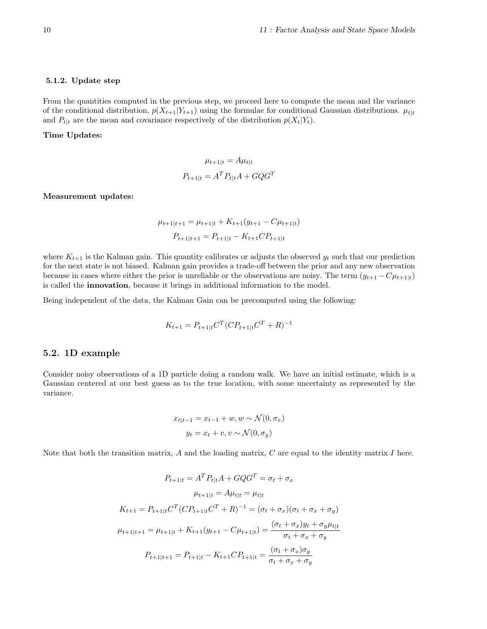#### 5.1.2. Update step

From the quantities computed in the previous step, we proceed here to compute the mean and the variance of the conditional distribution,  $p(X_{t+1}|Y_{t+1})$  using the formulae for conditional Gaussian distributions.  $\mu_{t|t}$ and  $P_{t|t}$  are the mean and covariance respectively of the distribution  $p(X_t|Y_t)$ .

### Time Updates:

$$
\mu_{t+1|t} = A\mu_{t|t}
$$

$$
P_{t+1|t} = A^T P_{t|t} A + GQG^T
$$

Measurement updates:

$$
\mu_{t+1|t+1} = \mu_{t+1|t} + K_{t+1}(y_{t+1} - C\mu_{t+1|t})
$$

$$
P_{t+1|t+1} = P_{t+1|t} - K_{t+1}CP_{t+1|t}
$$

where  $K_{t=1}$  is the Kalman gain. This quantity calibrates or adjusts the observed  $y_t$  such that our prediction for the next state is not biased. Kalman gain provides a trade-off between the prior and any new observation because in cases where either the prior is unreliable or the observations are noisy. The term  $(y_{t+1} - C\mu_{t+1|t})$ is called the innovation, because it brings in additional information to the model.

Being independent of the data, the Kalman Gain can be precomputed using the following:

$$
K_{t+1} = P_{t+1|t} C^T (C P_{t+1|t} C^T + R)^{-1}
$$

### 5.2. 1D example

Consider noisy observations of a 1D particle doing a random walk. We have an initial estimate, which is a Gaussian centered at our best guess as to the true location, with some uncertainty as represented by the variance.

$$
x_{t|t-1} = x_{t-1} + w, w \sim \mathcal{N}(0, \sigma_x)
$$

$$
y_t = x_t + v, v \sim \mathcal{N}(0, \sigma_y)
$$

Note that both the transition matrix,  $A$  and the loading matrix,  $C$  are equal to the identity matrix  $I$  here.

$$
P_{t+1|t} = A^T P_{t|t} A + G Q G^T = \sigma_t + \sigma_x
$$

$$
\mu_{t+1|t} = A \mu_{t|t}
$$

$$
K_{t+1} = P_{t+1|t} C^T (C P_{t+1|t} C^T + R)^{-1} = (\sigma_t + \sigma_x)(\sigma_t + \sigma_x + \sigma_y)
$$

$$
\mu_{t+1|t+1} = \mu_{t+1|t} + K_{t+1}(y_{t+1} - C \mu_{t+1|t}) = \frac{(\sigma_t + \sigma_x)y_t + \sigma_y \mu_{t|t}}{\sigma_t + \sigma_x + \sigma_y}
$$

$$
P_{t+1|t+1} = P_{t+1|t} - K_{t+1} C P_{t+1|t} = \frac{(\sigma_t + \sigma_x)\sigma_y}{\sigma_t + \sigma_x + \sigma_y}
$$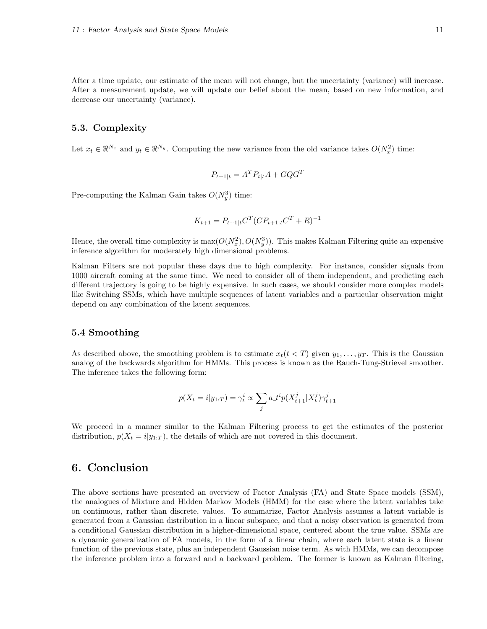After a time update, our estimate of the mean will not change, but the uncertainty (variance) will increase. After a measurement update, we will update our belief about the mean, based on new information, and decrease our uncertainty (variance).

#### 5.3. Complexity

Let  $x_t \in \mathbb{R}^{N_x}$  and  $y_t \in \mathbb{R}^{N_y}$ . Computing the new variance from the old variance takes  $O(N_x^2)$  time:

$$
P_{t+1|t} = A^T P_{t|t} A + G Q G^T
$$

Pre-computing the Kalman Gain takes  $O(N_y^3)$  time:

$$
K_{t+1} = P_{t+1|t} C^T (C P_{t+1|t} C^T + R)^{-1}
$$

Hence, the overall time complexity is  $\max(O(N_x^2), O(N_y^3))$ . This makes Kalman Filtering quite an expensive inference algorithm for moderately high dimensional problems.

Kalman Filters are not popular these days due to high complexity. For instance, consider signals from 1000 aircraft coming at the same time. We need to consider all of them independent, and predicting each different trajectory is going to be highly expensive. In such cases, we should consider more complex models like Switching SSMs, which have multiple sequences of latent variables and a particular observation might depend on any combination of the latent sequences.

#### 5.4 Smoothing

As described above, the smoothing problem is to estimate  $x_t(t < T)$  given  $y_1, \ldots, y_T$ . This is the Gaussian analog of the backwards algorithm for HMMs. This process is known as the Rauch-Tung-Strievel smoother. The inference takes the following form:

$$
p(X_t = i | y_{1:T}) = \gamma_t^i \propto \sum_j a_t t^i p(X_{t+1}^j | X_t^j) \gamma_{t+1}^j
$$

We proceed in a manner similar to the Kalman Filtering process to get the estimates of the posterior distribution,  $p(X_t = i|y_{1:T})$ , the details of which are not covered in this document.

## 6. Conclusion

The above sections have presented an overview of Factor Analysis (FA) and State Space models (SSM), the analogues of Mixture and Hidden Markov Models (HMM) for the case where the latent variables take on continuous, rather than discrete, values. To summarize, Factor Analysis assumes a latent variable is generated from a Gaussian distribution in a linear subspace, and that a noisy observation is generated from a conditional Gaussian distribution in a higher-dimensional space, centered about the true value. SSMs are a dynamic generalization of FA models, in the form of a linear chain, where each latent state is a linear function of the previous state, plus an independent Gaussian noise term. As with HMMs, we can decompose the inference problem into a forward and a backward problem. The former is known as Kalman filtering,